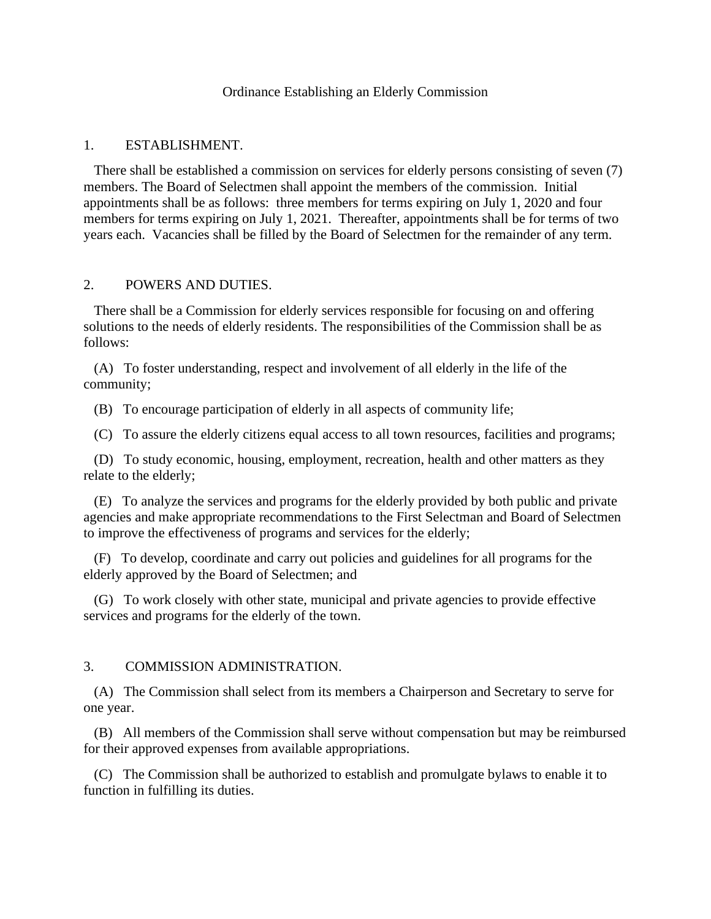## Ordinance Establishing an Elderly Commission

### 1. ESTABLISHMENT.

 There shall be established a commission on services for elderly persons consisting of seven (7) members. The Board of Selectmen shall appoint the members of the commission. Initial appointments shall be as follows: three members for terms expiring on July 1, 2020 and four members for terms expiring on July 1, 2021. Thereafter, appointments shall be for terms of two years each. Vacancies shall be filled by the Board of Selectmen for the remainder of any term.

#### 2. POWERS AND DUTIES.

 There shall be a Commission for elderly services responsible for focusing on and offering solutions to the needs of elderly residents. The responsibilities of the Commission shall be as follows:

 (A) To foster understanding, respect and involvement of all elderly in the life of the community;

(B) To encourage participation of elderly in all aspects of community life;

(C) To assure the elderly citizens equal access to all town resources, facilities and programs;

 (D) To study economic, housing, employment, recreation, health and other matters as they relate to the elderly;

 (E) To analyze the services and programs for the elderly provided by both public and private agencies and make appropriate recommendations to the First Selectman and Board of Selectmen to improve the effectiveness of programs and services for the elderly;

 (F) To develop, coordinate and carry out policies and guidelines for all programs for the elderly approved by the Board of Selectmen; and

 (G) To work closely with other state, municipal and private agencies to provide effective services and programs for the elderly of the town.

#### 3. COMMISSION ADMINISTRATION.

 (A) The Commission shall select from its members a Chairperson and Secretary to serve for one year.

 (B) All members of the Commission shall serve without compensation but may be reimbursed for their approved expenses from available appropriations.

 (C) The Commission shall be authorized to establish and promulgate bylaws to enable it to function in fulfilling its duties.